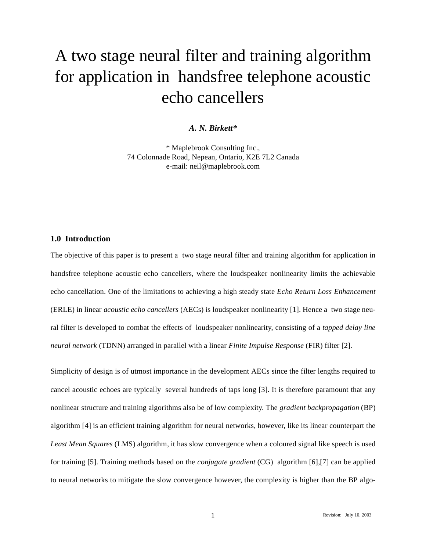# A two stage neural filter and training algorithm for application in handsfree telephone acoustic echo cancellers

# *A. N. Birkett\**

\* Maplebrook Consulting Inc., 74 Colonnade Road, Nepean, Ontario, K2E 7L2 Canada e-mail: neil@maplebrook.com

#### **1.0 Introduction**

The objective of this paper is to present a two stage neural filter and training algorithm for application in handsfree telephone acoustic echo cancellers, where the loudspeaker nonlinearity limits the achievable echo cancellation. One of the limitations to achieving a high steady state *Echo Return Loss Enhancement* (ERLE) in linear *acoustic echo cancellers* (AECs) is loudspeaker nonlinearity [1]. Hence a two stage neural filter is developed to combat the effects of loudspeaker nonlinearity, consisting of a *tapped delay line neural network* (TDNN) arranged in parallel with a linear *Finite Impulse Response* (FIR) filter [2].

Simplicity of design is of utmost importance in the development AECs since the filter lengths required to cancel acoustic echoes are typically several hundreds of taps long [3]. It is therefore paramount that any nonlinear structure and training algorithms also be of low complexity. The *gradient backpropagation* (BP) algorithm [4] is an efficient training algorithm for neural networks, however, like its linear counterpart the *Least Mean Squares* (LMS) algorithm, it has slow convergence when a coloured signal like speech is used for training [5]. Training methods based on the *conjugate gradient* (CG) algorithm [6],[7] can be applied to neural networks to mitigate the slow convergence however, the complexity is higher than the BP algo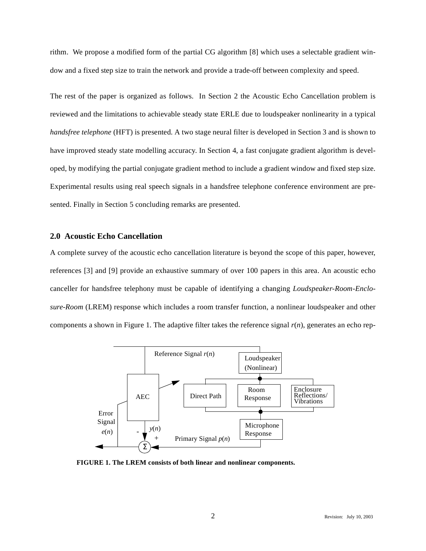rithm. We propose a modified form of the partial CG algorithm [8] which uses a selectable gradient window and a fixed step size to train the network and provide a trade-off between complexity and speed.

The rest of the paper is organized as follows. In Section 2 the Acoustic Echo Cancellation problem is reviewed and the limitations to achievable steady state ERLE due to loudspeaker nonlinearity in a typical *handsfree telephone* (HFT) is presented. A two stage neural filter is developed in Section 3 and is shown to have improved steady state modelling accuracy. In Section 4, a fast conjugate gradient algorithm is developed, by modifying the partial conjugate gradient method to include a gradient window and fixed step size. Experimental results using real speech signals in a handsfree telephone conference environment are presented. Finally in Section 5 concluding remarks are presented.

#### **2.0 Acoustic Echo Cancellation**

A complete survey of the acoustic echo cancellation literature is beyond the scope of this paper, however, references [3] and [9] provide an exhaustive summary of over 100 papers in this area. An acoustic echo canceller for handsfree telephony must be capable of identifying a changing *Loudspeaker-Room-Enclosure-Room* (LREM) response which includes a room transfer function, a nonlinear loudspeaker and other components a shown in Figure 1. The adaptive filter takes the reference signal *r*(*n*), generates an echo rep-



**FIGURE 1. The LREM consists of both linear and nonlinear components.**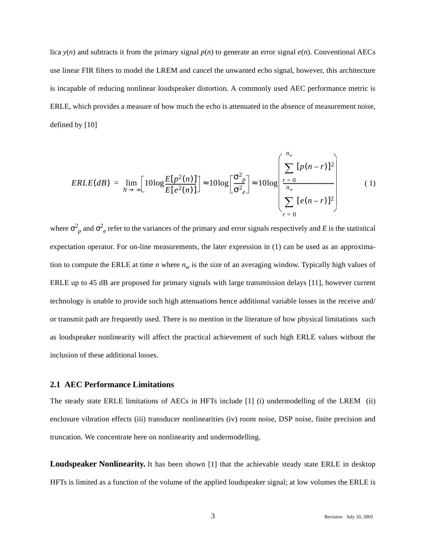lica  $y(n)$  and subtracts it from the primary signal  $p(n)$  to generate an error signal  $e(n)$ . Conventional AECs use linear FIR filters to model the LREM and cancel the unwanted echo signal, however, this architecture is incapable of reducing nonlinear loudspeaker distortion. A commonly used AEC performance metric is ERLE, which provides a measure of how much the echo is attenuated in the absence of measurement noise, defined by [10]

$$
ERLE(dB) = \lim_{N \to \infty} \left[ 10 \log \frac{E[p^2(n)]}{E[e^2(n)]} \right] \approx 10 \log \left[ \frac{\sigma_{p}^2}{\sigma_{e}^2} \right] \approx 10 \log \left[ \frac{\sum_{r=0}^{n_w} [p(n-r)]^2}{\sum_{r=0}^{n_w} [e(n-r)]^2} \right] \tag{1}
$$

where  $\sigma_p^2$  and  $\sigma_e^2$  refer to the variances of the primary and error signals respectively and *E* is the statistical expectation operator. For on-line measurements, the later expression in (1) can be used as an approximation to compute the ERLE at time *n* where  $n_w$  is the size of an averaging window. Typically high values of ERLE up to 45 dB are proposed for primary signals with large transmission delays [11], however current technology is unable to provide such high attenuations hence additional variable losses in the receive and/ or transmit path are frequently used. There is no mention in the literature of how physical limitations such as loudspeaker nonlinearity will affect the practical achievement of such high ERLE values without the inclusion of these additional losses.

#### **2.1 AEC Performance Limitations**

The steady state ERLE limitations of AECs in HFTs include [1] (i) undermodelling of the LREM (ii) enclosure vibration effects (iii) transducer nonlinearities (iv) room noise, DSP noise, finite precision and truncation. We concentrate here on nonlinearity and undermodelling.

**Loudspeaker Nonlinearity.** It has been shown [1] that the achievable steady state ERLE in desktop HFTs is limited as a function of the volume of the applied loudspeaker signal; at low volumes the ERLE is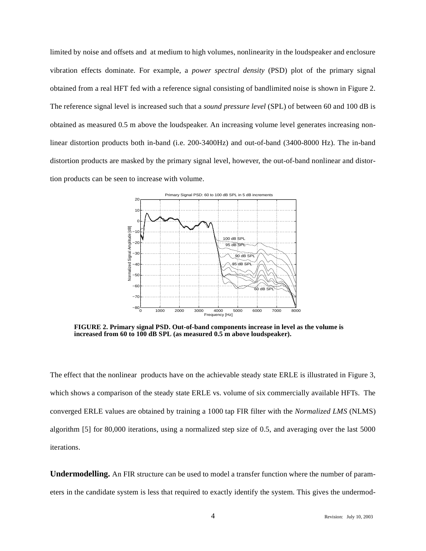limited by noise and offsets and at medium to high volumes, nonlinearity in the loudspeaker and enclosure vibration effects dominate. For example, a *power spectral density* (PSD) plot of the primary signal obtained from a real HFT fed with a reference signal consisting of bandlimited noise is shown in Figure 2. The reference signal level is increased such that a *sound pressure level* (SPL) of between 60 and 100 dB is obtained as measured 0.5 m above the loudspeaker. An increasing volume level generates increasing nonlinear distortion products both in-band (i.e. 200-3400Hz) and out-of-band (3400-8000 Hz). The in-band distortion products are masked by the primary signal level, however, the out-of-band nonlinear and distortion products can be seen to increase with volume.



**FIGURE 2. Primary signal PSD. Out-of-band components increase in level as the volume is increased from 60 to 100 dB SPL (as measured 0.5 m above loudspeaker).**

The effect that the nonlinear products have on the achievable steady state ERLE is illustrated in Figure 3, which shows a comparison of the steady state ERLE vs. volume of six commercially available HFTs. The converged ERLE values are obtained by training a 1000 tap FIR filter with the *Normalized LMS* (NLMS) algorithm [5] for 80,000 iterations, using a normalized step size of 0.5, and averaging over the last 5000 iterations.

**Undermodelling.** An FIR structure can be used to model a transfer function where the number of parameters in the candidate system is less that required to exactly identify the system. This gives the undermod-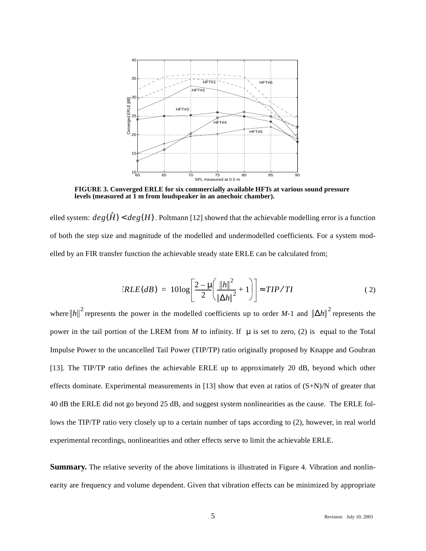

**FIGURE 3. Converged ERLE for six commercially available HFTs at various sound pressure levels (measured at 1 m from loudspeaker in an anechoic chamber).**

elled system:  $deg(\hat{H}) < deg(H)$ . Poltmann [12] showed that the achievable modelling error is a function of both the step size and magnitude of the modelled and undermodelled coefficients. For a system modelled by an FIR transfer function the achievable steady state ERLE can be calculated from;

$$
RLE(dB) = 10\log\left[\frac{2-\mu}{2}\left(\frac{\left\|h\right\|^2}{\left\|\Delta h\right\|^2} + 1\right)\right] \approx TIP/TI
$$
 (2)

where  $||h||^2$  represents the power in the modelled coefficients up to order *M*-1 and  $||\Delta h||^2$  represents the power in the tail portion of the LREM from *M* to infinity. If  $\mu$  is set to zero, (2) is equal to the Total Impulse Power to the uncancelled Tail Power (TIP/TP) ratio originally proposed by Knappe and Goubran [13]. The TIP/TP ratio defines the achievable ERLE up to approximately 20 dB, beyond which other effects dominate. Experimental measurements in [13] show that even at ratios of  $(S+N)/N$  of greater that 40 dB the ERLE did not go beyond 25 dB, and suggest system nonlinearities as the cause. The ERLE follows the TIP/TP ratio very closely up to a certain number of taps according to (2), however, in real world experimental recordings, nonlinearities and other effects serve to limit the achievable ERLE.

**Summary.** The relative severity of the above limitations is illustrated in Figure 4. Vibration and nonlinearity are frequency and volume dependent. Given that vibration effects can be minimized by appropriate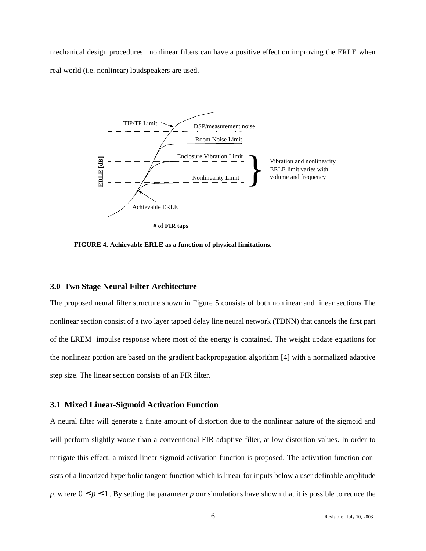mechanical design procedures, nonlinear filters can have a positive effect on improving the ERLE when real world (i.e. nonlinear) loudspeakers are used.



**# of FIR taps**

**FIGURE 4. Achievable ERLE as a function of physical limitations.**

#### **3.0 Two Stage Neural Filter Architecture**

The proposed neural filter structure shown in Figure 5 consists of both nonlinear and linear sections The nonlinear section consist of a two layer tapped delay line neural network (TDNN) that cancels the first part of the LREM impulse response where most of the energy is contained. The weight update equations for the nonlinear portion are based on the gradient backpropagation algorithm [4] with a normalized adaptive step size. The linear section consists of an FIR filter.

#### **3.1 Mixed Linear-Sigmoid Activation Function**

A neural filter will generate a finite amount of distortion due to the nonlinear nature of the sigmoid and will perform slightly worse than a conventional FIR adaptive filter, at low distortion values. In order to mitigate this effect, a mixed linear-sigmoid activation function is proposed. The activation function consists of a linearized hyperbolic tangent function which is linear for inputs below a user definable amplitude *p*, where  $0 \le p \le 1$ . By setting the parameter *p* our simulations have shown that it is possible to reduce the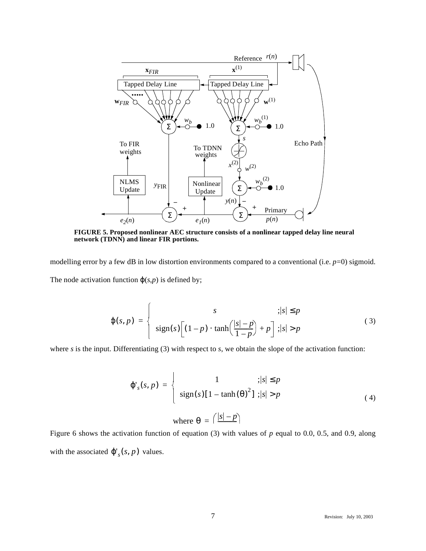

**FIGURE 5. Proposed nonlinear AEC structure consists of a nonlinear tapped delay line neural network (TDNN) and linear FIR portions.**

modelling error by a few dB in low distortion environments compared to a conventional (i.e. *p*=0) sigmoid. The node activation function  $\varphi(s,p)$  is defined by;

$$
\varphi(s,p) = \begin{cases}\ns & ; |s| \le p \\
\text{sign}(s) \left[ (1-p) \cdot \tanh\left(\frac{|s|-p}{1-p}\right) + p \right] ; |s| > p\n\end{cases} (3)
$$

where *s* is the input. Differentiating (3) with respect to *s*, we obtain the slope of the activation function:

 $\overline{a}$ 

$$
\varphi'_{s}(s, p) = \begin{cases}\n1 & ; |s| \le p \\
\text{sign}(s)[1 - \tanh(\theta)^{2}] ; |s| > p\n\end{cases}
$$
\n(4)

where  $\theta = \left( \frac{|s| - p}{\sqrt{p}} \right)$ 

Figure 6 shows the activation function of equation (3) with values of  $p$  equal to 0.0, 0.5, and 0.9, along with the associated  $\varphi'_{s}(s, p)$  values.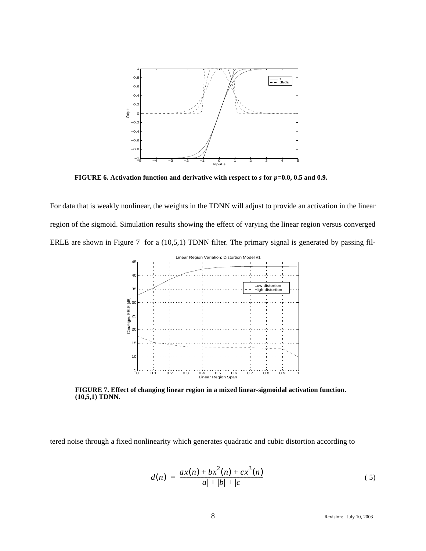

**FIGURE 6. Activation function and derivative with respect to** *s* **for** *p***=0.0, 0.5 and 0.9.**

For data that is weakly nonlinear, the weights in the TDNN will adjust to provide an activation in the linear region of the sigmoid. Simulation results showing the effect of varying the linear region versus converged ERLE are shown in Figure 7 for a (10,5,1) TDNN filter. The primary signal is generated by passing fil-



**FIGURE 7. Effect of changing linear region in a mixed linear-sigmoidal activation function. (10,5,1) TDNN.**

tered noise through a fixed nonlinearity which generates quadratic and cubic distortion according to

$$
d(n) = \frac{ax(n) + bx^{2}(n) + cx^{3}(n)}{|a| + |b| + |c|}
$$
\n(5)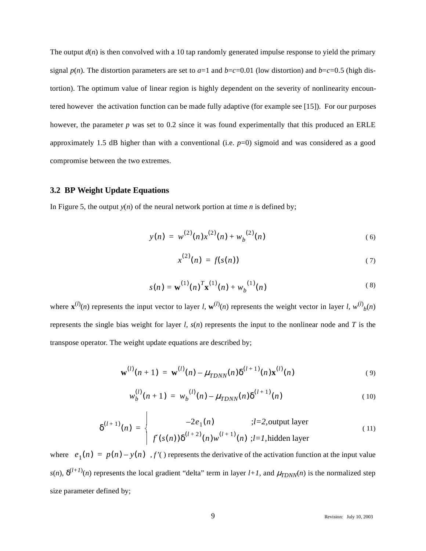The output  $d(n)$  is then convolved with a 10 tap randomly generated impulse response to yield the primary signal  $p(n)$ . The distortion parameters are set to  $a=1$  and  $b=c=0.01$  (low distortion) and  $b=c=0.5$  (high distortion). The optimum value of linear region is highly dependent on the severity of nonlinearity encountered however the activation function can be made fully adaptive (for example see [15]). For our purposes however, the parameter *p* was set to 0.2 since it was found experimentally that this produced an ERLE approximately 1.5 dB higher than with a conventional (i.e.  $p=0$ ) sigmoid and was considered as a good compromise between the two extremes.

# **3.2 BP Weight Update Equations**

In Figure 5, the output  $y(n)$  of the neural network portion at time *n* is defined by;

 $\overline{1}$ 

$$
y(n) = w^{(2)}(n)x^{(2)}(n) + w_b^{(2)}(n)
$$
 (6)

$$
x^{(2)}(n) = f(s(n))
$$
 (7)

$$
s(n) = \mathbf{w}^{(1)}(n)^T \mathbf{x}^{(1)}(n) + w_b^{(1)}(n)
$$
 (8)

where  $\mathbf{x}^{(l)}(n)$  represents the input vector to layer *l*,  $\mathbf{w}^{(l)}(n)$  represents the weight vector in layer *l*,  $w^{(l)}(n)$ represents the single bias weight for layer *l, s*(*n*) represents the input to the nonlinear node and *T* is the transpose operator. The weight update equations are described by;

$$
\mathbf{w}^{(l)}(n+1) = \mathbf{w}^{(l)}(n) - \mu_{TDNN}(n) \delta^{(l+1)}(n) \mathbf{x}^{(l)}(n)
$$
 (9)

$$
w_b^{(l)}(n+1) = w_b^{(l)}(n) - \mu_{TDNN}(n) \delta^{(l+1)}(n) \tag{10}
$$

$$
\delta^{(l+1)}(n) = \begin{cases}\n-2e_1(n) & ;l=2, \text{output layer} \\
f'(s(n))\delta^{(l+2)}(n)w^{(l+1)}(n) & ;l=l, \text{hidden layer}\n\end{cases}
$$
\n(11)

where  $e_1(n) = p(n) - y(n)$ ,  $f'(n)$  represents the derivative of the activation function at the input value  $s(n)$ ,  $\delta^{(l+1)}(n)$  represents the local gradient "delta" term in layer  $l+1$ , and  $\mu_{TDNN}(n)$  is the normalized step size parameter defined by;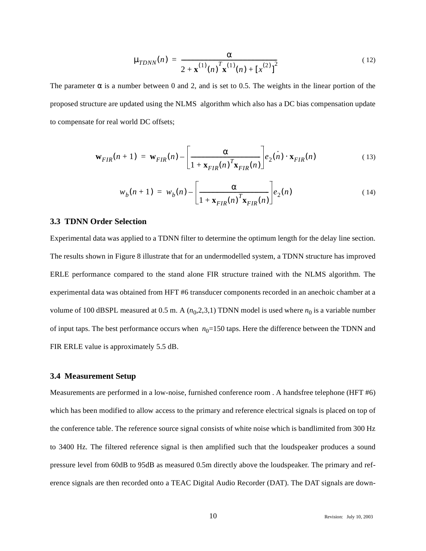$$
\mu_{T DNN}(n) = \frac{\alpha}{2 + \mathbf{x}^{(1)}(n)^T \mathbf{x}^{(1)}(n) + [x^{(2)}]^2}
$$
(12)

The parameter  $\alpha$  is a number between 0 and 2, and is set to 0.5. The weights in the linear portion of the proposed structure are updated using the NLMS algorithm which also has a DC bias compensation update to compensate for real world DC offsets;

$$
\mathbf{w}_{FIR}(n+1) = \mathbf{w}_{FIR}(n) - \left[\frac{\alpha}{1 + \mathbf{x}_{FIR}(n)^T \mathbf{x}_{FIR}(n)}\right] e_2(n) \cdot \mathbf{x}_{FIR}(n) \tag{13}
$$

$$
w_b(n+1) = w_b(n) - \left[\frac{\alpha}{1 + \mathbf{x}_{FIR}(n)^T \mathbf{x}_{FIR}(n)}\right] e_2(n)
$$
 (14)

#### **3.3 TDNN Order Selection**

Experimental data was applied to a TDNN filter to determine the optimum length for the delay line section. The results shown in Figure 8 illustrate that for an undermodelled system, a TDNN structure has improved ERLE performance compared to the stand alone FIR structure trained with the NLMS algorithm. The experimental data was obtained from HFT #6 transducer components recorded in an anechoic chamber at a volume of 100 dBSPL measured at 0.5 m. A  $(n_0, 2, 3, 1)$  TDNN model is used where  $n_0$  is a variable number of input taps. The best performance occurs when  $n_0$ =150 taps. Here the difference between the TDNN and FIR ERLE value is approximately 5.5 dB.

#### **3.4 Measurement Setup**

Measurements are performed in a low-noise, furnished conference room . A handsfree telephone (HFT #6) which has been modified to allow access to the primary and reference electrical signals is placed on top of the conference table. The reference source signal consists of white noise which is bandlimited from 300 Hz to 3400 Hz. The filtered reference signal is then amplified such that the loudspeaker produces a sound pressure level from 60dB to 95dB as measured 0.5m directly above the loudspeaker. The primary and reference signals are then recorded onto a TEAC Digital Audio Recorder (DAT). The DAT signals are down-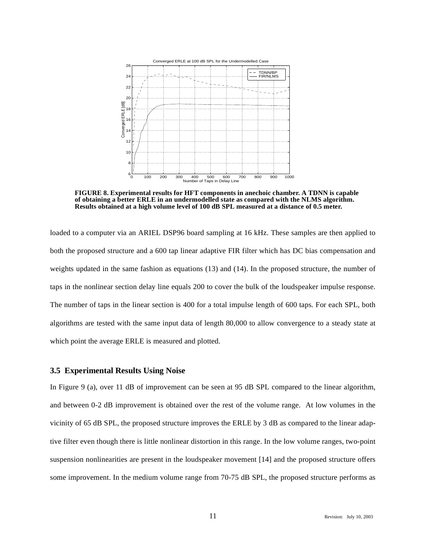

**FIGURE 8. Experimental results for HFT components in anechoic chamber. A TDNN is capable of obtaining a better ERLE in an undermodelled state as compared with the NLMS algorithm. Results obtained at a high volume level of 100 dB SPL measured at a distance of 0.5 meter.**

loaded to a computer via an ARIEL DSP96 board sampling at 16 kHz. These samples are then applied to both the proposed structure and a 600 tap linear adaptive FIR filter which has DC bias compensation and weights updated in the same fashion as equations (13) and (14). In the proposed structure, the number of taps in the nonlinear section delay line equals 200 to cover the bulk of the loudspeaker impulse response. The number of taps in the linear section is 400 for a total impulse length of 600 taps. For each SPL, both algorithms are tested with the same input data of length 80,000 to allow convergence to a steady state at which point the average ERLE is measured and plotted.

#### **3.5 Experimental Results Using Noise**

In Figure 9 (a), over 11 dB of improvement can be seen at 95 dB SPL compared to the linear algorithm, and between 0-2 dB improvement is obtained over the rest of the volume range. At low volumes in the vicinity of 65 dB SPL, the proposed structure improves the ERLE by 3 dB as compared to the linear adaptive filter even though there is little nonlinear distortion in this range. In the low volume ranges, two-point suspension nonlinearities are present in the loudspeaker movement [14] and the proposed structure offers some improvement. In the medium volume range from 70-75 dB SPL, the proposed structure performs as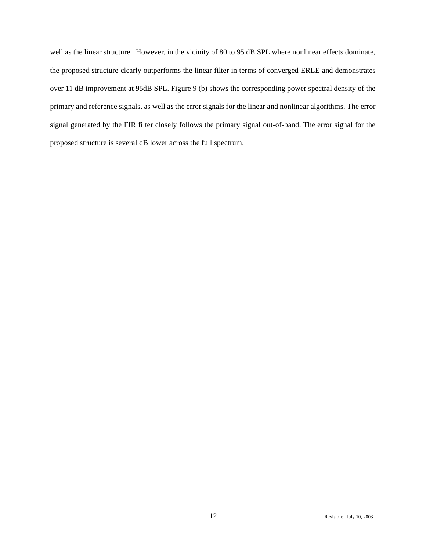well as the linear structure. However, in the vicinity of 80 to 95 dB SPL where nonlinear effects dominate, the proposed structure clearly outperforms the linear filter in terms of converged ERLE and demonstrates over 11 dB improvement at 95dB SPL. Figure 9 (b) shows the corresponding power spectral density of the primary and reference signals, as well as the error signals for the linear and nonlinear algorithms. The error signal generated by the FIR filter closely follows the primary signal out-of-band. The error signal for the proposed structure is several dB lower across the full spectrum.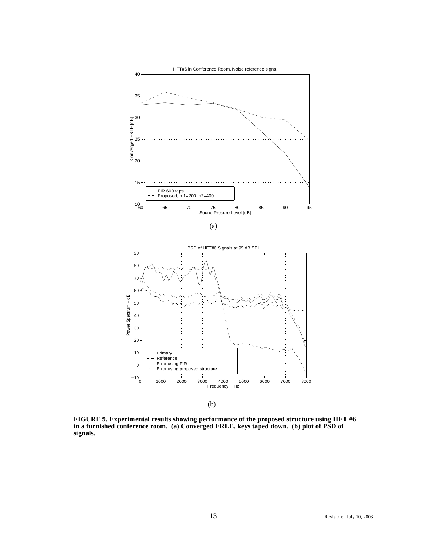



(b)

**FIGURE 9. Experimental results showing performance of the proposed structure using HFT #6 in a furnished conference room. (a) Converged ERLE, keys taped down. (b) plot of PSD of signals.**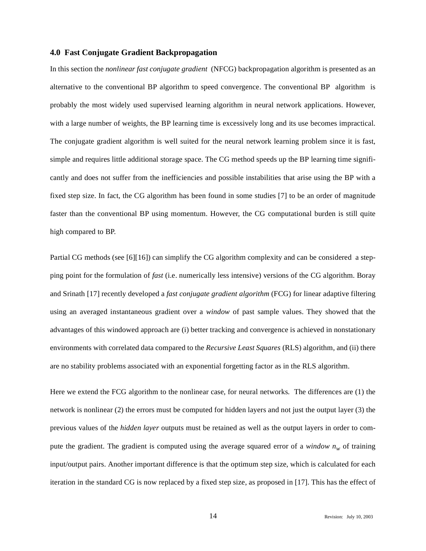#### **4.0 Fast Conjugate Gradient Backpropagation**

In this section the *nonlinear fast conjugate gradient* (NFCG) backpropagation algorithm is presented as an alternative to the conventional BP algorithm to speed convergence. The conventional BP algorithm is probably the most widely used supervised learning algorithm in neural network applications. However, with a large number of weights, the BP learning time is excessively long and its use becomes impractical. The conjugate gradient algorithm is well suited for the neural network learning problem since it is fast, simple and requires little additional storage space. The CG method speeds up the BP learning time significantly and does not suffer from the inefficiencies and possible instabilities that arise using the BP with a fixed step size. In fact, the CG algorithm has been found in some studies [7] to be an order of magnitude faster than the conventional BP using momentum. However, the CG computational burden is still quite high compared to BP.

Partial CG methods (see [6][16]) can simplify the CG algorithm complexity and can be considered a stepping point for the formulation of *fast* (i.e. numerically less intensive) versions of the CG algorithm. Boray and Srinath [17] recently developed a *fast conjugate gradient algorithm* (FCG) for linear adaptive filtering using an averaged instantaneous gradient over a *window* of past sample values. They showed that the advantages of this windowed approach are (i) better tracking and convergence is achieved in nonstationary environments with correlated data compared to the *Recursive Least Squares* (RLS) algorithm, and (ii) there are no stability problems associated with an exponential forgetting factor as in the RLS algorithm.

Here we extend the FCG algorithm to the nonlinear case, for neural networks. The differences are (1) the network is nonlinear (2) the errors must be computed for hidden layers and not just the output layer (3) the previous values of the *hidden layer* outputs must be retained as well as the output layers in order to compute the gradient. The gradient is computed using the average squared error of a *window*  $n_w$  of training input/output pairs. Another important difference is that the optimum step size, which is calculated for each iteration in the standard CG is now replaced by a fixed step size, as proposed in [17]. This has the effect of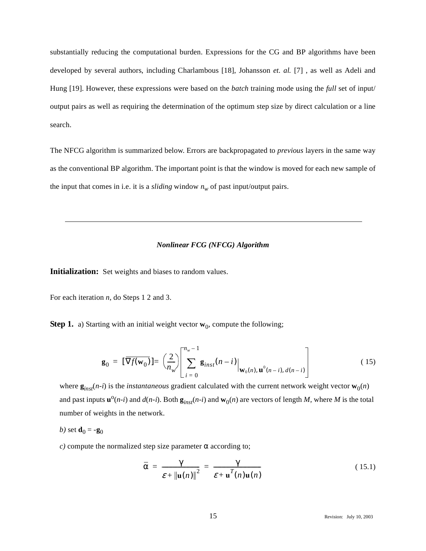substantially reducing the computational burden. Expressions for the CG and BP algorithms have been developed by several authors, including Charlambous [18], Johansson *et. al.* [7] , as well as Adeli and Hung [19]. However, these expressions were based on the *batch* training mode using the *full* set of input/ output pairs as well as requiring the determination of the optimum step size by direct calculation or a line search.

The NFCG algorithm is summarized below. Errors are backpropagated to *previous* layers in the same way as the conventional BP algorithm. The important point is that the window is moved for each new sample of the input that comes in i.e. it is a *sliding* window  $n_w$  of past input/output pairs.

#### *Nonlinear FCG (NFCG) Algorithm*

**Initialization:** Set weights and biases to random values.

For each iteration *n*, do Steps 1 2 and 3.

**Step 1.** a) Starting with an initial weight vector  $w_0$ , compute the following;

$$
\mathbf{g}_0 = \left[ \overline{\nabla f(\mathbf{w}_0)} \right] = \left( \frac{2}{n_w} \right) \left[ \sum_{i=0}^{n_w - 1} \mathbf{g}_{inst}(n - i) \Big|_{\mathbf{W}_0(n), \mathbf{u}^0(n-i), d(n-i)} \right]
$$
(15)

where  $\mathbf{g}_{inst}(n-i)$  is the *instantaneous* gradient calculated with the current network weight vector  $\mathbf{w}_0(n)$ and past inputs  $\mathbf{u}^0(n-i)$  and  $d(n-i)$ . Both  $\mathbf{g}_{inst}(n-i)$  and  $\mathbf{w}_0(n)$  are vectors of length *M*, where *M* is the total number of weights in the network.

$$
b) \text{ set } \mathbf{d}_0 = -\mathbf{g}_0
$$

*c*) compute the normalized step size parameter  $\alpha$  according to;

$$
\overline{\alpha} = \frac{\gamma}{\varepsilon + \|\mathbf{u}(n)\|^2} = \frac{\gamma}{\varepsilon + \mathbf{u}^T(n)\mathbf{u}(n)}
$$
(15.1)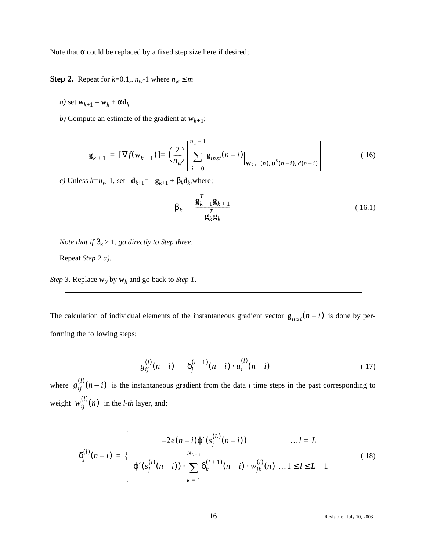Note that α could be replaced by a fixed step size here if desired;

**Step 2.** Repeat for  $k=0,1, n_w-1$  where  $n_w \le m$ 

*a*) set  $\mathbf{w}_{k+1} = \mathbf{w}_k + \alpha \mathbf{d}_k$ 

*b*) Compute an estimate of the gradient at  $\mathbf{w}_{k+1}$ ;

$$
\mathbf{g}_{k+1} = \left[ \overline{\nabla f(\mathbf{w}_{k+1})} \right] = \left( \frac{2}{n_w} \right) \left[ \sum_{i=0}^{n_w - 1} \mathbf{g}_{inst}(n-i) \Big|_{\mathbf{w}_{k+1}(n), \mathbf{u}^0(n-i), d(n-i)} \right]
$$
(16)

*c*) Unless  $k=n_w-1$ , set **d**<sub> $k+1$ </sub> = -  $\mathbf{g}_{k+1}$  +  $\beta_k \mathbf{d}_k$ , where;

$$
\beta_k = \frac{\mathbf{g}_{k+1}^T \mathbf{g}_{k+1}}{\mathbf{g}_k^T \mathbf{g}_k} \tag{16.1}
$$

*Note that if*  $\beta_k > 1$ *, go directly to Step three.* 

Repeat *Step 2 a).*

*Step 3*. Replace  $\mathbf{w}_0$  by  $\mathbf{w}_k$  and go back to *Step 1*.

The calculation of individual elements of the instantaneous gradient vector  $\mathbf{g}_{inst}(n-i)$  is done by performing the following steps;

$$
g_{ij}^{(l)}(n-i) = \delta_j^{(l+1)}(n-i) \cdot u_i^{(l)}(n-i) \qquad (17)
$$

where  $g_{ij}^{(l)}(n-i)$  is the instantaneous gradient from the data *i* time steps in the past corresponding to weight  $w_{ij}^{(l)}(n)$  in the *l-th* layer, and;

$$
\delta_j^{(l)}(n-i) = \begin{cases}\n-2e(n-i)\varphi'(s_j^{(L)}(n-i)) & \dots l = L \\
\varphi'(s_j^{(l)}(n-i)) \cdot \sum_{k=1}^N \delta_k^{(l+1)}(n-i) \cdot w_{jk}^{(l)}(n) & \dots 1 \le l \le L-1\n\end{cases}
$$
\n(18)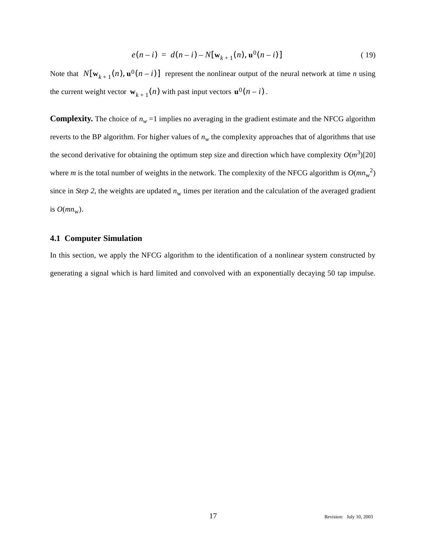$$
e(n-i) = d(n-i) - N[\mathbf{w}_{k+1}(n), \mathbf{u}^{0}(n-i)]
$$
\n(19)

Note that  $N[\mathbf{w}_{k+1}(n), \mathbf{u}^0(n-i)]$  represent the nonlinear output of the neural network at time *n* using the current weight vector  $\mathbf{w}_{k+1}(n)$  with past input vectors  $\mathbf{u}^0(n-i)$ .

**Complexity.** The choice of  $n_w = 1$  implies no averaging in the gradient estimate and the NFCG algorithm reverts to the BP algorithm. For higher values of  $n_w$  the complexity approaches that of algorithms that use the second derivative for obtaining the optimum step size and direction which have complexity  $O(m^3)$ [20] where *m* is the total number of weights in the network. The complexity of the NFCG algorithm is  $O(mn_w^2)$ since in *Step 2*, the weights are updated  $n_w$  times per iteration and the calculation of the averaged gradient is  $O(mn_w)$ .

# **4.1 Computer Simulation**

In this section, we apply the NFCG algorithm to the identification of a nonlinear system constructed by generating a signal which is hard limited and convolved with an exponentially decaying 50 tap impulse.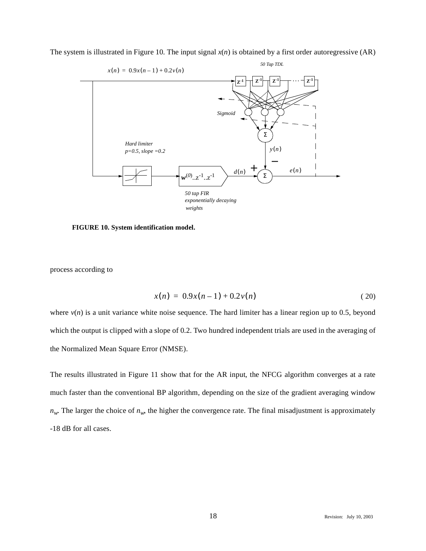

The system is illustrated in Figure 10. The input signal *x*(*n*) is obtained by a first order autoregressive (AR)

**FIGURE 10. System identification model.**

process according to

$$
x(n) = 0.9x(n-1) + 0.2v(n)
$$
 (20)

where  $v(n)$  is a unit variance white noise sequence. The hard limiter has a linear region up to 0.5, beyond which the output is clipped with a slope of 0.2. Two hundred independent trials are used in the averaging of the Normalized Mean Square Error (NMSE).

The results illustrated in Figure 11 show that for the AR input, the NFCG algorithm converges at a rate much faster than the conventional BP algorithm, depending on the size of the gradient averaging window  $n_w$ . The larger the choice of  $n_w$ , the higher the convergence rate. The final misadjustment is approximately -18 dB for all cases.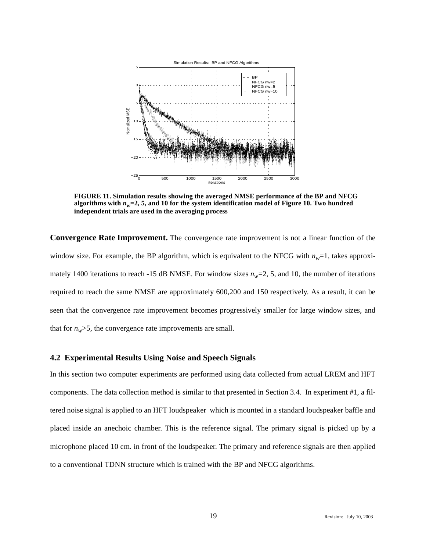

**FIGURE 11. Simulation results showing the averaged NMSE performance of the BP and NFCG** algorithms with  $n_w=2$ , 5, and 10 for the system identification model of Figure 10. Two hundred **independent trials are used in the averaging process**

**Convergence Rate Improvement.** The convergence rate improvement is not a linear function of the window size. For example, the BP algorithm, which is equivalent to the NFCG with  $n_w=1$ , takes approximately 1400 iterations to reach -15 dB NMSE. For window sizes  $n_w=2$ , 5, and 10, the number of iterations required to reach the same NMSE are approximately 600,200 and 150 respectively. As a result, it can be seen that the convergence rate improvement becomes progressively smaller for large window sizes, and that for  $n_w$ >5, the convergence rate improvements are small.

# **4.2 Experimental Results Using Noise and Speech Signals**

In this section two computer experiments are performed using data collected from actual LREM and HFT components. The data collection method is similar to that presented in Section 3.4. In experiment #1, a filtered noise signal is applied to an HFT loudspeaker which is mounted in a standard loudspeaker baffle and placed inside an anechoic chamber. This is the reference signal. The primary signal is picked up by a microphone placed 10 cm. in front of the loudspeaker. The primary and reference signals are then applied to a conventional TDNN structure which is trained with the BP and NFCG algorithms.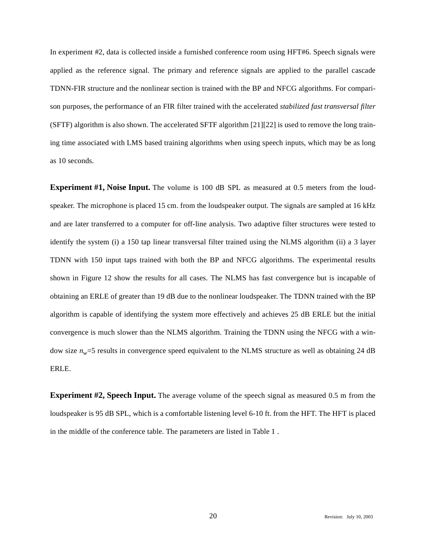In experiment #2, data is collected inside a furnished conference room using HFT#6. Speech signals were applied as the reference signal. The primary and reference signals are applied to the parallel cascade TDNN-FIR structure and the nonlinear section is trained with the BP and NFCG algorithms. For comparison purposes, the performance of an FIR filter trained with the accelerated *stabilized fast transversal filter* (SFTF) algorithm is also shown. The accelerated SFTF algorithm [21][22] is used to remove the long training time associated with LMS based training algorithms when using speech inputs, which may be as long as 10 seconds.

**Experiment #1, Noise Input.** The volume is 100 dB SPL as measured at 0.5 meters from the loudspeaker. The microphone is placed 15 cm. from the loudspeaker output. The signals are sampled at 16 kHz and are later transferred to a computer for off-line analysis. Two adaptive filter structures were tested to identify the system (i) a 150 tap linear transversal filter trained using the NLMS algorithm (ii) a 3 layer TDNN with 150 input taps trained with both the BP and NFCG algorithms. The experimental results shown in Figure 12 show the results for all cases. The NLMS has fast convergence but is incapable of obtaining an ERLE of greater than 19 dB due to the nonlinear loudspeaker. The TDNN trained with the BP algorithm is capable of identifying the system more effectively and achieves 25 dB ERLE but the initial convergence is much slower than the NLMS algorithm. Training the TDNN using the NFCG with a window size  $n_w$ =5 results in convergence speed equivalent to the NLMS structure as well as obtaining 24 dB ERLE.

**Experiment #2, Speech Input.** The average volume of the speech signal as measured 0.5 m from the loudspeaker is 95 dB SPL, which is a comfortable listening level 6-10 ft. from the HFT. The HFT is placed in the middle of the conference table. The parameters are listed in Table 1 .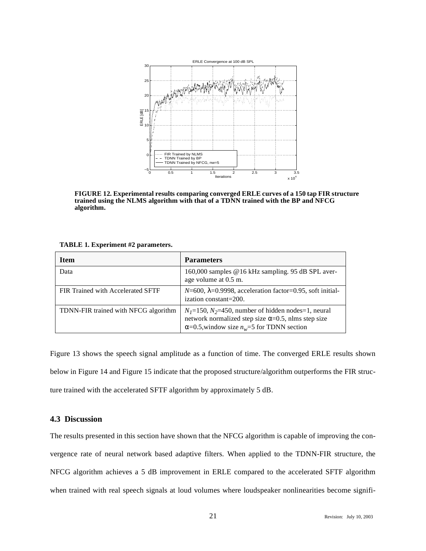

**FIGURE 12. Experimental results comparing converged ERLE curves of a 150 tap FIR structure trained using the NLMS algorithm with that of a TDNN trained with the BP and NFCG algorithm.**

|  |  |  | TABLE 1. Experiment #2 parameters. |
|--|--|--|------------------------------------|
|--|--|--|------------------------------------|

| <b>Item</b>                          | <b>Parameters</b>                                                                                                                                                              |
|--------------------------------------|--------------------------------------------------------------------------------------------------------------------------------------------------------------------------------|
| Data                                 | 160,000 samples @16 kHz sampling. 95 dB SPL aver-<br>age volume at 0.5 m.                                                                                                      |
| FIR Trained with Accelerated SFTF    | $N=600$ , $\lambda=0.9998$ , acceleration factor=0.95, soft initial-<br>ization constant=200.                                                                                  |
| TDNN-FIR trained with NFCG algorithm | $N_1$ =150, $N_2$ =450, number of hidden nodes=1, neural<br>network normalized step size $\alpha$ =0.5, nlms step size<br>$\alpha$ =0.5, window size $n_w$ =5 for TDNN section |

Figure 13 shows the speech signal amplitude as a function of time. The converged ERLE results shown below in Figure 14 and Figure 15 indicate that the proposed structure/algorithm outperforms the FIR structure trained with the accelerated SFTF algorithm by approximately 5 dB.

# **4.3 Discussion**

The results presented in this section have shown that the NFCG algorithm is capable of improving the convergence rate of neural network based adaptive filters. When applied to the TDNN-FIR structure, the NFCG algorithm achieves a 5 dB improvement in ERLE compared to the accelerated SFTF algorithm when trained with real speech signals at loud volumes where loudspeaker nonlinearities become signifi-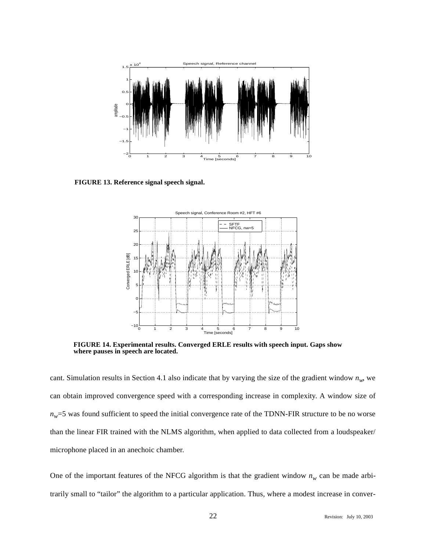

**FIGURE 13. Reference signal speech signal.**



**FIGURE 14. Experimental results. Converged ERLE results with speech input. Gaps show where pauses in speech are located.**

cant. Simulation results in Section 4.1 also indicate that by varying the size of the gradient window  $n_w$ , we can obtain improved convergence speed with a corresponding increase in complexity. A window size of  $n_w$ =5 was found sufficient to speed the initial convergence rate of the TDNN-FIR structure to be no worse than the linear FIR trained with the NLMS algorithm, when applied to data collected from a loudspeaker/ microphone placed in an anechoic chamber.

One of the important features of the NFCG algorithm is that the gradient window  $n_w$  can be made arbitrarily small to "tailor" the algorithm to a particular application. Thus, where a modest increase in conver-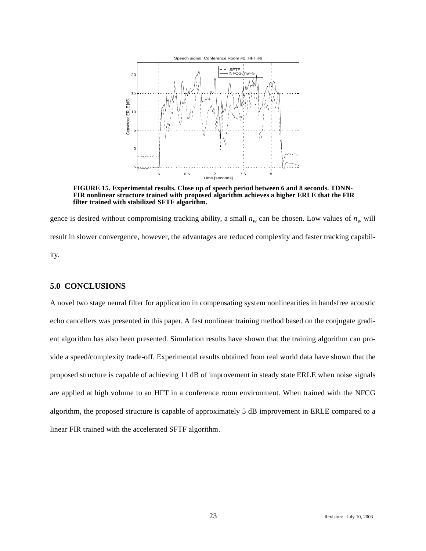

**FIGURE 15. Experimental results. Close up of speech period between 6 and 8 seconds. TDNN-FIR nonlinear structure trained with proposed algorithm achieves a higher ERLE that the FIR filter trained with stabilized SFTF algorithm.**

gence is desired without compromising tracking ability, a small  $n_w$  can be chosen. Low values of  $n_w$  will result in slower convergence, however, the advantages are reduced complexity and faster tracking capability.

# **5.0 CONCLUSIONS**

A novel two stage neural filter for application in compensating system nonlinearities in handsfree acoustic echo cancellers was presented in this paper. A fast nonlinear training method based on the conjugate gradient algorithm has also been presented. Simulation results have shown that the training algorithm can provide a speed/complexity trade-off. Experimental results obtained from real world data have shown that the proposed structure is capable of achieving 11 dB of improvement in steady state ERLE when noise signals are applied at high volume to an HFT in a conference room environment. When trained with the NFCG algorithm, the proposed structure is capable of approximately 5 dB improvement in ERLE compared to a linear FIR trained with the accelerated SFTF algorithm.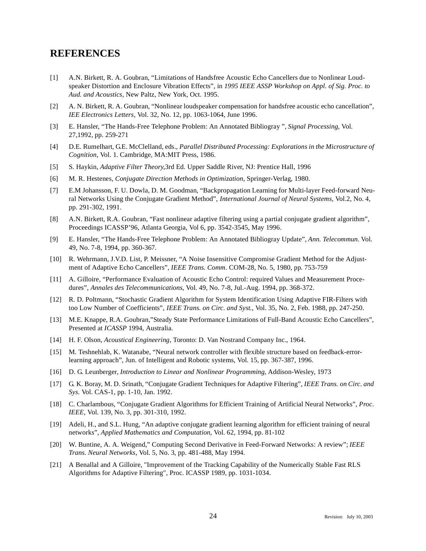# **REFERENCES**

- [1] A.N. Birkett, R. A. Goubran, "Limitations of Handsfree Acoustic Echo Cancellers due to Nonlinear Loudspeaker Distortion and Enclosure Vibration Effects", in *1995 IEEE ASSP Workshop on Appl. of Sig. Proc. to Aud. and Acoustics*, New Paltz, New York, Oct. 1995.
- [2] A. N. Birkett, R. A. Goubran, "Nonlinear loudspeaker compensation for handsfree acoustic echo cancellation", *IEE Electronics Letters*, Vol. 32, No. 12, pp. 1063-1064, June 1996.
- [3] E. Hansler, "The Hands-Free Telephone Problem: An Annotated Bibliogray ", *Signal Processing,* Vol. 27,1992, pp. 259-271
- [4] D.E. Rumelhart, G.E. McClelland, eds., *Parallel Distributed Processing: Explorations in the Microstructure of Cognition*, Vol. 1. Cambridge, MA:MIT Press, 1986.
- [5] S. Haykin, *Adaptive Filter Theory*,3rd Ed. Upper Saddle River, NJ: Prentice Hall, 1996
- [6] M. R. Hestenes, *Conjugate Direction Methods in Optimization*, Springer-Verlag, 1980.
- [7] E.M Johansson, F. U. Dowla, D. M. Goodman, "Backpropagation Learning for Multi-layer Feed-forward Neural Networks Using the Conjugate Gradient Method", *International Journal of Neural Systems,* Vol.2, No. 4, pp. 291-302, 1991.
- [8] A.N. Birkett, R.A. Goubran, "Fast nonlinear adaptive filtering using a partial conjugate gradient algorithm", Proceedings ICASSP'96, Atlanta Georgia, Vol 6, pp. 3542-3545, May 1996.
- [9] E. Hansler, "The Hands-Free Telephone Problem: An Annotated Bibliogray Update", *Ann. Telecommun.* Vol. 49, No. 7-8, 1994, pp. 360-367.
- [10] R. Wehrmann, J.V.D. List, P. Meissner, "A Noise Insensitive Compromise Gradient Method for the Adjustment of Adaptive Echo Cancellers", *IEEE Trans. Comm*. COM-28, No. 5, 1980, pp. 753-759
- [11] A. Gilloire, "Performance Evaluation of Acoustic Echo Control: required Values and Measurement Procedures", *Annales des Telecommunications*, Vol. 49, No. 7-8, Jul.-Aug. 1994, pp. 368-372.
- [12] R. D. Poltmann, "Stochastic Gradient Algorithm for System Identification Using Adaptive FIR-Filters with too Low Number of Coefficients", *IEEE Trans. on Circ. and Syst.*, Vol. 35, No. 2, Feb. 1988, pp. 247-250.
- [13] M.E. Knappe, R.A. Goubran,"Steady State Performance Limitations of Full-Band Acoustic Echo Cancellers", Presented at *ICASSP* 1994, Australia.
- [14] H. F. Olson, *Acoustical Engineering*, Toronto: D. Van Nostrand Company Inc., 1964.
- [15] M. Teshnehlab, K. Watanabe, "Neural network controller with flexible structure based on feedback-errorlearning approach", Jun. of Intelligent and Robotic systems, Vol. 15, pp. 367-387, 1996.
- [16] D. G. Leunberger, *Introduction to Linear and Nonlinear Programming*, Addison-Wesley, 1973
- [17] G. K. Boray, M. D. Srinath, "Conjugate Gradient Techniques for Adaptive Filtering", *IEEE Trans. on Circ. and Sys*. Vol. CAS-1, pp. 1-10, Jan. 1992.
- [18] C. Charlambous, "Conjugate Gradient Algorithms for Efficient Training of Artificial Neural Networks", *Proc. IEEE*, Vol. 139, No. 3, pp. 301-310, 1992.
- [19] Adeli, H., and S.L. Hung, "An adaptive conjugate gradient learning algorithm for efficient training of neural networks", *Applied Mathematics and Computation*, Vol. 62, 1994, pp. 81-102
- [20] W. Buntine, A. A. Weigend," Computing Second Derivative in Feed-Forward Networks: A review"; *IEEE Trans. Neural Networks*, Vol. 5, No. 3, pp. 481-488, May 1994.
- [21] A Benallal and A Gilloire, "Improvement of the Tracking Capability of the Numerically Stable Fast RLS Algorithms for Adaptive Filtering", Proc. ICASSP 1989, pp. 1031-1034.